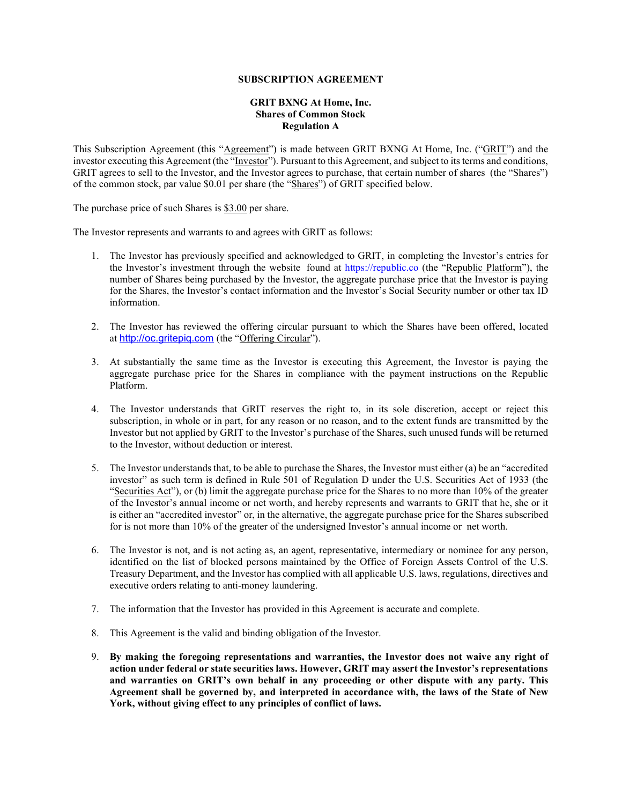## SUBSCRIPTION AGREEMENT

## GRIT BXNG At Home, Inc. Shares of Common Stock Regulation A

This Subscription Agreement (this "Agreement") is made between GRIT BXNG At Home, Inc. ("GRIT") and the investor executing this Agreement (the "Investor"). Pursuant to this Agreement, and subject to its terms and conditions, GRIT agrees to sell to the Investor, and the Investor agrees to purchase, that certain number of shares (the "Shares") of the common stock, par value \$0.01 per share (the "Shares") of GRIT specified below.

The purchase price of such Shares is \$3.00 per share.

The Investor represents and warrants to and agrees with GRIT as follows:

- 1. The Investor has previously specified and acknowledged to GRIT, in completing the Investor's entries for the Investor's investment through the website found at https://republic.co (the "Republic Platform"), the number of Shares being purchased by the Investor, the aggregate purchase price that the Investor is paying for the Shares, the Investor's contact information and the Investor's Social Security number or other tax ID information.
- 2. The Investor has reviewed the offering circular pursuant to which the Shares have been offered, located at http://oc.gritepiq.com (the "Offering Circular").
- 3. At substantially the same time as the Investor is executing this Agreement, the Investor is paying the aggregate purchase price for the Shares in compliance with the payment instructions on the Republic Platform.
- 4. The Investor understands that GRIT reserves the right to, in its sole discretion, accept or reject this subscription, in whole or in part, for any reason or no reason, and to the extent funds are transmitted by the Investor but not applied by GRIT to the Investor's purchase of the Shares, such unused funds will be returned to the Investor, without deduction or interest.
- 5. The Investor understands that, to be able to purchase the Shares, the Investor must either (a) be an "accredited investor" as such term is defined in Rule 501 of Regulation D under the U.S. Securities Act of 1933 (the "Securities Act"), or (b) limit the aggregate purchase price for the Shares to no more than 10% of the greater of the Investor's annual income or net worth, and hereby represents and warrants to GRIT that he, she or it is either an "accredited investor" or, in the alternative, the aggregate purchase price for the Shares subscribed for is not more than 10% of the greater of the undersigned Investor's annual income or net worth.
- 6. The Investor is not, and is not acting as, an agent, representative, intermediary or nominee for any person, identified on the list of blocked persons maintained by the Office of Foreign Assets Control of the U.S. Treasury Department, and the Investor has complied with all applicable U.S. laws, regulations, directives and executive orders relating to anti-money laundering.
- 7. The information that the Investor has provided in this Agreement is accurate and complete.
- 8. This Agreement is the valid and binding obligation of the Investor.
- 9. By making the foregoing representations and warranties, the Investor does not waive any right of action under federal or state securities laws. However, GRIT may assert the Investor's representations and warranties on GRIT's own behalf in any proceeding or other dispute with any party. This Agreement shall be governed by, and interpreted in accordance with, the laws of the State of New York, without giving effect to any principles of conflict of laws.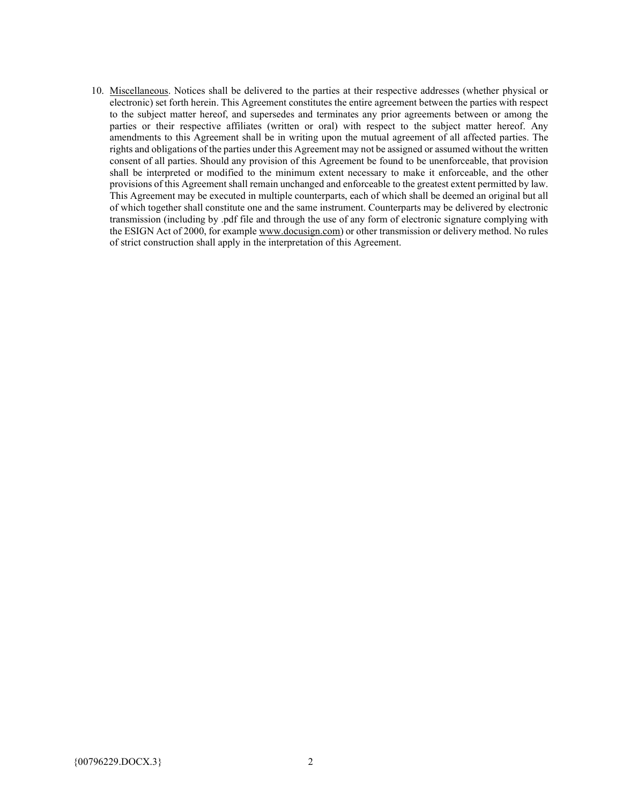10. Miscellaneous. Notices shall be delivered to the parties at their respective addresses (whether physical or electronic) set forth herein. This Agreement constitutes the entire agreement between the parties with respect to the subject matter hereof, and supersedes and terminates any prior agreements between or among the parties or their respective affiliates (written or oral) with respect to the subject matter hereof. Any amendments to this Agreement shall be in writing upon the mutual agreement of all affected parties. The rights and obligations of the parties under this Agreement may not be assigned or assumed without the written consent of all parties. Should any provision of this Agreement be found to be unenforceable, that provision shall be interpreted or modified to the minimum extent necessary to make it enforceable, and the other provisions of this Agreement shall remain unchanged and enforceable to the greatest extent permitted by law. This Agreement may be executed in multiple counterparts, each of which shall be deemed an original but all of which together shall constitute one and the same instrument. Counterparts may be delivered by electronic transmission (including by .pdf file and through the use of any form of electronic signature complying with the ESIGN Act of 2000, for example www.docusign.com) or other transmission or delivery method. No rules of strict construction shall apply in the interpretation of this Agreement.